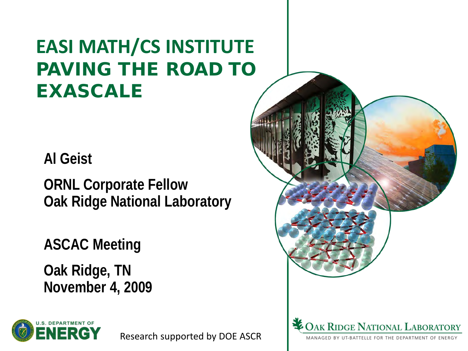## **EASI MATH/CS INSTITUTE** PAVING THE ROAD TO EXASCALE

**Al Geist**

**ORNL Corporate Fellow Oak Ridge National Laboratory**

**ASCAC Meeting**

**Oak Ridge, TN November 4, 2009**



Research supported by DOE ASCR

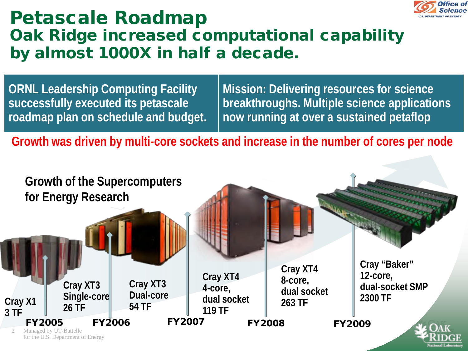

#### Petascale Roadmap Oak Ridge increased computational capability by almost 1000X in half a decade.

**ORNL Leadership Computing Facility successfully executed its petascale roadmap plan on schedule and budget.** **Mission: Delivering resources for science breakthroughs. Multiple science applications now running at over a sustained petaflop**

**Growth was driven by multi-core sockets and increase in the number of cores per node**

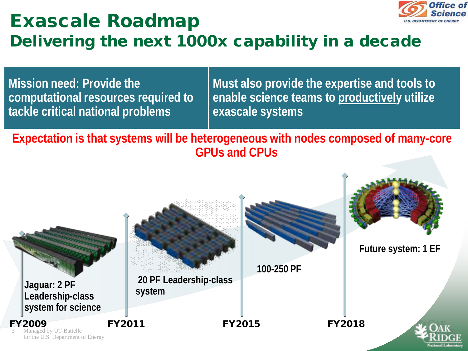

#### Exascale Roadmap Delivering the next 1000x capability in a decade

**Mission need: Provide the computational resources required to tackle critical national problems**

**Must also provide the expertise and tools to enable science teams to productively utilize exascale systems** 

**Expectation is that systems will be heterogeneous with nodes composed of many-core GPUs and CPUs**

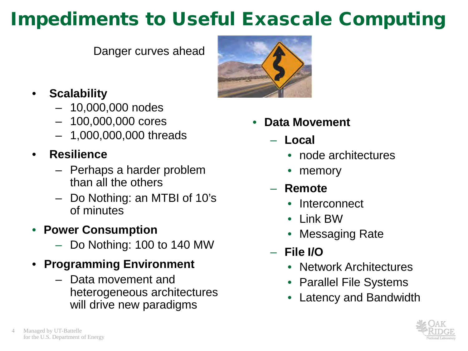## Impediments to Useful Exascale Computing

Danger curves ahead

- **Scalability**
	- 10,000,000 nodes
	- 100,000,000 cores
	- 1,000,000,000 threads
- **Resilience**
	- Perhaps a harder problem than all the others
	- Do Nothing: an MTBI of 10's of minutes
- **Power Consumption**
	- Do Nothing: 100 to 140 MW
- **Programming Environment**
	- Data movement and heterogeneous architectures will drive new paradigms



- **Data Movement**
	- **Local**
		- node architectures
		- memory
	- **Remote**
		- Interconnect
		- Link BW
		- Messaging Rate
	- **File I/O**
		- Network Architectures
		- Parallel File Systems
		- Latency and Bandwidth

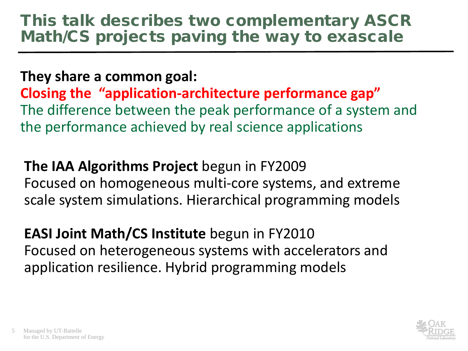#### This talk describes two complementary ASCR Math/CS projects paving the way to exascale

#### **They share a common goal:**

**Closing the "application-architecture performance gap"** The difference between the peak performance of a system and the performance achieved by real science applications

**The IAA Algorithms Project** begun in FY2009 Focused on homogeneous multi-core systems, and extreme scale system simulations. Hierarchical programming models

**EASI Joint Math/CS Institute** begun in FY2010 Focused on heterogeneous systems with accelerators and application resilience. Hybrid programming models

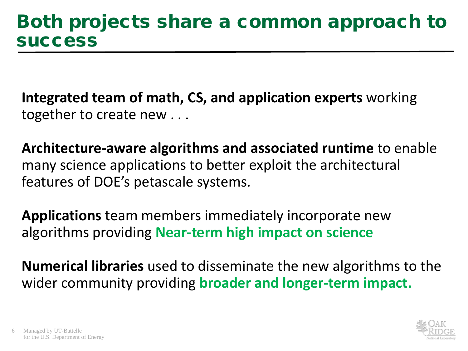**Integrated team of math, CS, and application experts** working together to create new . . .

**Architecture-aware algorithms and associated runtime** to enable many science applications to better exploit the architectural features of DOE's petascale systems.

**Applications** team members immediately incorporate new algorithms providing **Near-term high impact on science**

**Numerical libraries** used to disseminate the new algorithms to the wider community providing **broader and longer-term impact.**

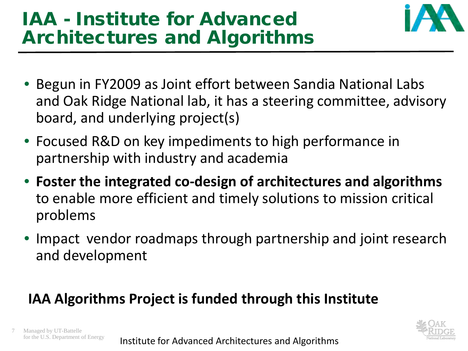## IAA - Institute for Advanced Architectures and Algorithms



- Begun in FY2009 as Joint effort between Sandia National Labs and Oak Ridge National lab, it has a steering committee, advisory board, and underlying project(s)
- Focused R&D on key impediments to high performance in partnership with industry and academia
- **Foster the integrated co-design of architectures and algorithms** to enable more efficient and timely solutions to mission critical problems
- Impact vendor roadmaps through partnership and joint research and development

#### **IAA Algorithms Project is funded through this Institute**

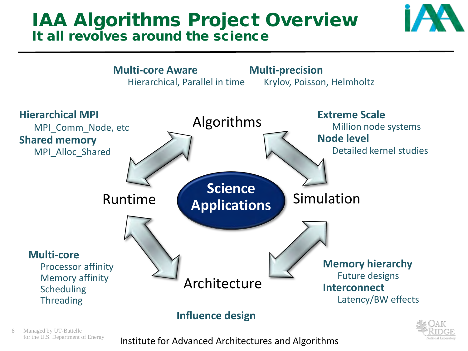#### IAA Algorithms Project Overview It all revolves around the science







**Influence design**

Managed by UT-Battelle<br>for the U.S. Department of Energy

for the U.S. Department of Energy **Anstitute for Advanced Architectures and Algorithms**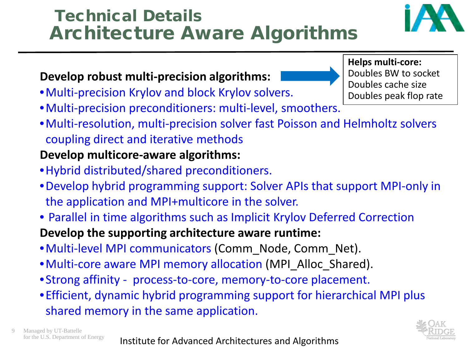# •Multi-precision preconditioners: multi-level, smoothers.

•Multi-resolution, multi-precision solver fast Poisson and Helmholtz solvers coupling direct and iterative methods

#### **Develop multicore-aware algorithms:**

- •Hybrid distributed/shared preconditioners.
- •Develop hybrid programming support: Solver APIs that support MPI-only in the application and MPI+multicore in the solver.
- Parallel in time algorithms such as Implicit Krylov Deferred Correction

#### **Develop the supporting architecture aware runtime:**

- •Multi-level MPI communicators (Comm\_Node, Comm\_Net).
- •Multi-core aware MPI memory allocation (MPI\_Alloc\_Shared).
- •Strong affinity process-to-core, memory-to-core placement.
- •Efficient, dynamic hybrid programming support for hierarchical MPI plus shared memory in the same application.

#### Technical Details Architecture Aware Algorithms

## **Develop robust multi-precision algorithms:**

•Multi-precision Krylov and block Krylov solvers.

**Helps multi-core:** Doubles BW to socket Doubles cache size Doubles peak flop rate



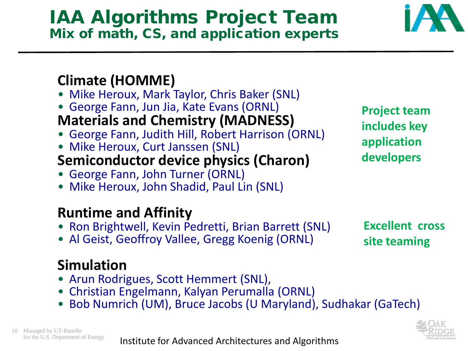#### IAA Algorithms Project Team Mix of math, CS, and application experts

#### **Climate (HOMME)**

- Mike Heroux, Mark Taylor, Chris Baker (SNL)
- George Fann, Jun Jia, Kate Evans (ORNL)

#### **Materials and Chemistry (MADNESS)**

- George Fann, Judith Hill, Robert Harrison (ORNL)
- Mike Heroux, Curt Janssen (SNL)

#### **Semiconductor device physics (Charon)**

- George Fann, John Turner (ORNL)
- Mike Heroux, John Shadid, Paul Lin (SNL)

#### **Runtime and Affinity**

- Ron Brightwell, Kevin Pedretti, Brian Barrett (SNL)
- Al Geist, Geoffroy Vallee, Gregg Koenig (ORNL)

#### **Simulation**

- Arun Rodrigues, Scott Hemmert (SNL),
- Christian Engelmann, Kalyan Perumalla (ORNL)
- Bob Numrich (UM), Bruce Jacobs (U Maryland), Sudhakar (GaTech)



**Excellent cross site teaming**



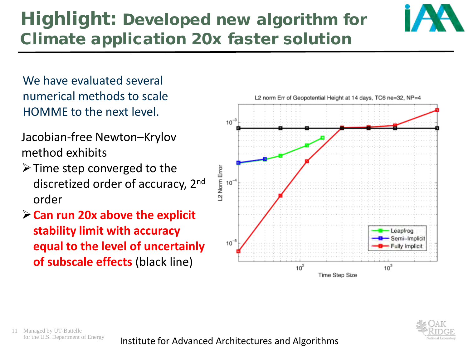### Highlight: Developed new algorithm for Climate application 20x faster solution



We have evaluated several numerical methods to scale HOMME to the next level.

Jacobian-free Newton–Krylov method exhibits

- $\triangleright$  Time step converged to the discretized order of accuracy, 2nd order
- **Can run 20x above the explicit stability limit with accuracy equal to the level of uncertainly of subscale effects** (black line)





11 Managed by UT-Battelle

for the U.S. Department of Energy **Anstitute for Advanced Architectures and Algorithms**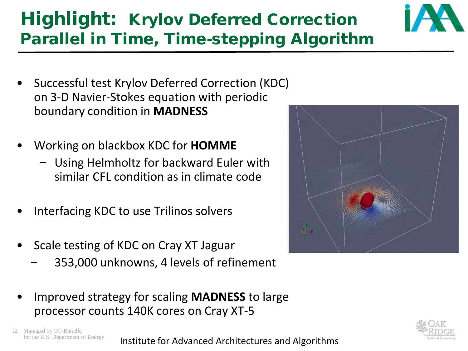#### on 3-D Navier-Stokes equation with periodic boundary condition in **MADNESS**

- Working on blackbox KDC for **HOMME**
	- Using Helmholtz for backward Euler with similar CFL condition as in climate code

• Successful test Krylov Deferred Correction (KDC)

- Interfacing KDC to use Trilinos solvers
- Scale testing of KDC on Cray XT Jaguar
	- 353,000 unknowns, 4 levels of refinement
- Improved strategy for scaling **MADNESS** to large processor counts 140K cores on Cray XT-5

12 Managed by UT-Battelle<br>for the U.S. Department of Energy for the U.S. Department of Energy **Anstitute for Advanced Architectures and Algorithms** 







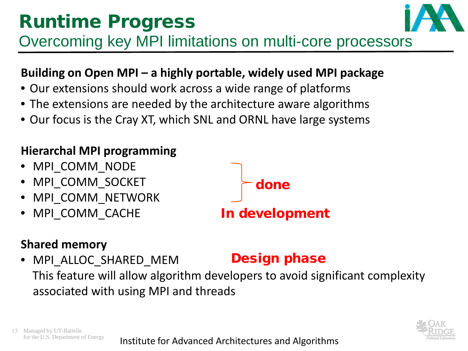## Runtime Progress



Overcoming key MPI limitations on multi-core processors

#### **Building on Open MPI – a highly portable, widely used MPI package**

- Our extensions should work across a wide range of platforms
- The extensions are needed by the architecture aware algorithms
- Our focus is the Cray XT, which SNL and ORNL have large systems

#### **Hierarchal MPI programming**

- MPI\_COMM\_NODE
- MPI\_COMM\_SOCKET
- MPI\_COMM\_NETWORK
- MPI\_COMM\_CACHE

#### **Shared memory**

#### • MPI ALLOC SHARED MEM This feature will allow algorithm developers to avoid significant complexity associated with using MPI and threads Design phase





done

for the U.S. Department of Energy **Anstitute for Advanced Architectures and Algorithms**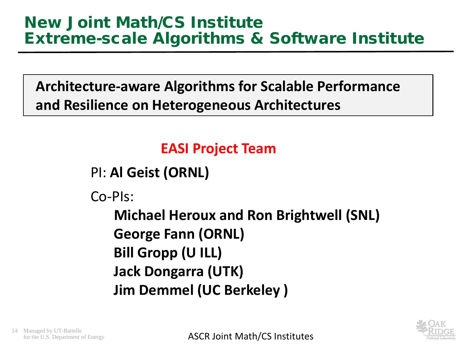**Architecture-aware Algorithms for Scalable Performance and Resilience on Heterogeneous Architectures**

#### **EASI Project Team**

```
PI: Al Geist (ORNL)
```
Co-PIs:

**Michael Heroux and Ron Brightwell (SNL) George Fann (ORNL) Bill Gropp (U ILL) Jack Dongarra (UTK) Jim Demmel (UC Berkeley )**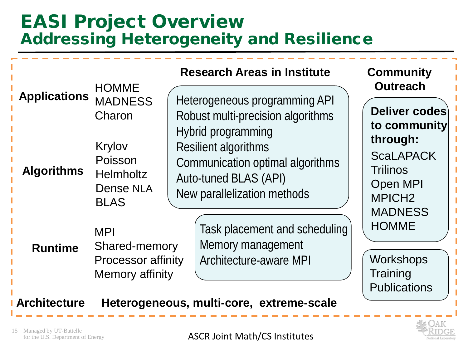#### EASI Project Overview Addressing Heterogeneity and Resilience

|                                          | <b>HOMME</b>                                                                                  | <b>Research Areas in Institute</b>                                                                                                                                                                                  | <b>Community</b><br><b>Outreach</b>                                                                                       |
|------------------------------------------|-----------------------------------------------------------------------------------------------|---------------------------------------------------------------------------------------------------------------------------------------------------------------------------------------------------------------------|---------------------------------------------------------------------------------------------------------------------------|
| <b>Applications</b><br><b>Algorithms</b> | <b>MADNESS</b><br>Charon<br>Krylov<br>Poisson<br><b>Helmholtz</b><br>Dense NLA<br><b>BLAS</b> | Heterogeneous programming API<br>Robust multi-precision algorithms<br>Hybrid programming<br><b>Resilient algorithms</b><br>Communication optimal algorithms<br>Auto-tuned BLAS (API)<br>New parallelization methods | Deliver codes<br>to community<br>through:<br><b>ScaLAPACK</b><br><b>Trilinos</b><br><b>Open MPI</b><br>MPICH <sub>2</sub> |
| <b>Runtime</b>                           | <b>MPI</b><br>Shared-memory<br><b>Processor affinity</b><br>Memory affinity                   | Task placement and scheduling<br>Memory management<br>Architecture-aware MPI                                                                                                                                        | <b>MADNESS</b><br><b>HOMME</b><br><b>Workshops</b><br>Training<br><b>Publications</b>                                     |

#### **Architecture Heterogeneous, multi-core, extreme-scale**

15 Managed by UT-Battelle<br>for the U.S. Department of Energy

 $\mathsf{S}$  for the U.S. Department of Energy **ASCR Joint Math/CS Institutes**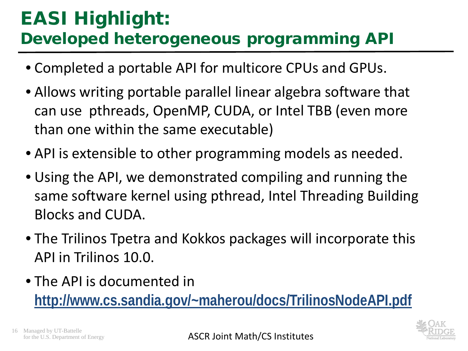### EASI Highlight: Developed heterogeneous programming API

- Completed a portable API for multicore CPUs and GPUs.
- Allows writing portable parallel linear algebra software that can use pthreads, OpenMP, CUDA, or Intel TBB (even more than one within the same executable)
- API is extensible to other programming models as needed.
- Using the API, we demonstrated compiling and running the same software kernel using pthread, Intel Threading Building Blocks and CUDA.
- The Trilinos Tpetra and Kokkos packages will incorporate this API in Trilinos 10.0.
- The API is documented in **<http://www.cs.sandia.gov/~maherou/docs/TrilinosNodeAPI.pdf>**